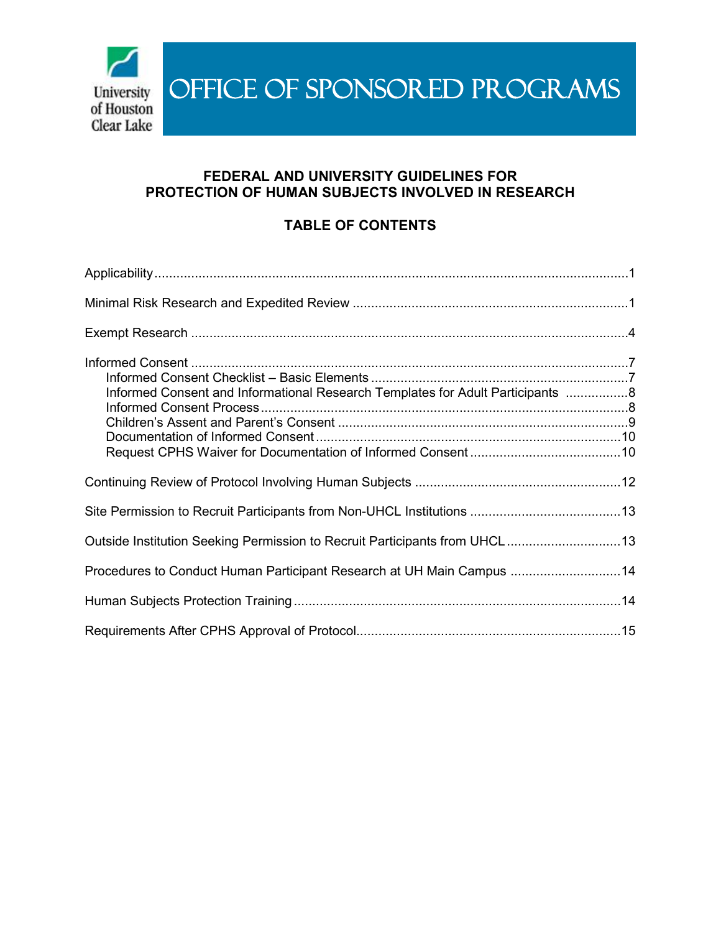

# **FEDERAL AND UNIVERSITY GUIDELINES FOR PROTECTION OF HUMAN SUBJECTS INVOLVED IN RESEARCH**

# **TABLE OF CONTENTS**

| Informed Consent and Informational Research Templates for Adult Participants 8 |  |
|--------------------------------------------------------------------------------|--|
|                                                                                |  |
|                                                                                |  |
| Outside Institution Seeking Permission to Recruit Participants from UHCL13     |  |
| Procedures to Conduct Human Participant Research at UH Main Campus 14          |  |
|                                                                                |  |
|                                                                                |  |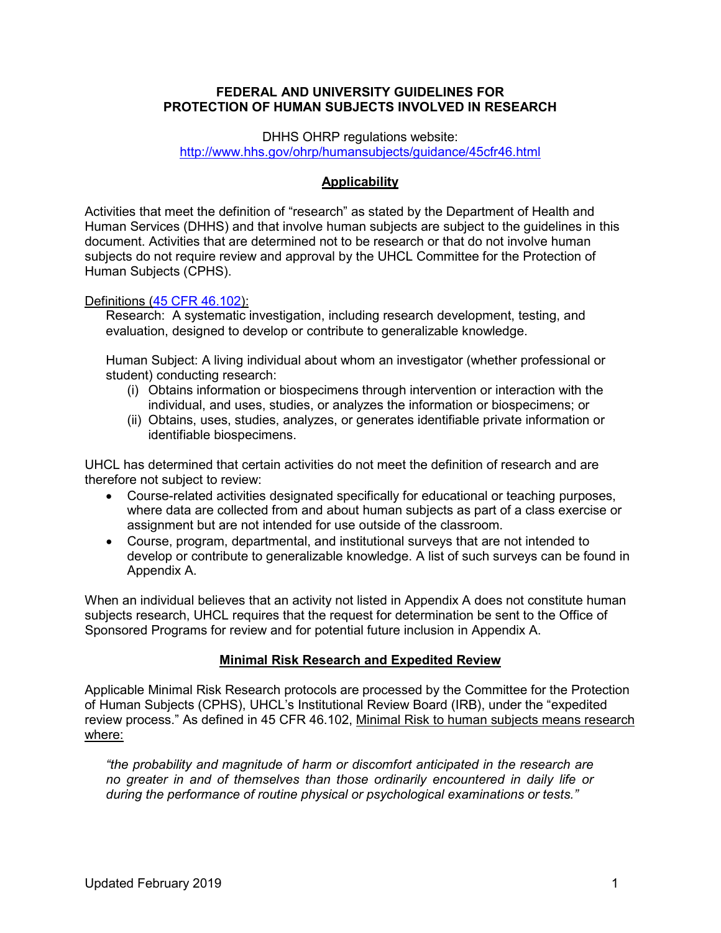### **FEDERAL AND UNIVERSITY GUIDELINES FOR PROTECTION OF HUMAN SUBJECTS INVOLVED IN RESEARCH**

DHHS OHRP regulations website:

<http://www.hhs.gov/ohrp/humansubjects/guidance/45cfr46.html>

# **Applicability**

Activities that meet the definition of "research" as stated by the Department of Health and Human Services (DHHS) and that involve human subjects are subject to the guidelines in this document. Activities that are determined not to be research or that do not involve human subjects do not require review and approval by the UHCL Committee for the Protection of Human Subjects (CPHS).

# Definitions (45 [CFR 46.102\)](https://www.ecfr.gov/cgi-bin/retrieveECFR?gp=&SID=83cd09e1c0f5c6937cd9d7513160fc3f&pitd=20180719&n=pt45.1.46&r=PART&ty=HTML#se45.1.46_1102):

Research: A systematic investigation, including research development, testing, and evaluation, designed to develop or contribute to generalizable knowledge.

Human Subject: A living individual about whom an investigator (whether professional or student) conducting research:

- (i) Obtains information or biospecimens through intervention or interaction with the individual, and uses, studies, or analyzes the information or biospecimens; or
- (ii) Obtains, uses, studies, analyzes, or generates identifiable private information or identifiable biospecimens.

UHCL has determined that certain activities do not meet the definition of research and are therefore not subject to review:

- Course-related activities designated specifically for educational or teaching purposes, where data are collected from and about human subjects as part of a class exercise or assignment but are not intended for use outside of the classroom.
- Course, program, departmental, and institutional surveys that are not intended to develop or contribute to generalizable knowledge. A list of such surveys can be found in Appendix A.

When an individual believes that an activity not listed in Appendix A does not constitute human subjects research, UHCL requires that the request for determination be sent to the Office of Sponsored Programs for review and for potential future inclusion in Appendix A.

# **Minimal Risk Research and Expedited Review**

Applicable Minimal Risk Research protocols are processed by the Committee for the Protection of Human Subjects (CPHS), UHCL's Institutional Review Board (IRB), under the "expedited review process." As defined in 45 CFR 46.102, Minimal Risk to human subjects means research where:

*"the probability and magnitude of harm or discomfort anticipated in the research are no greater in and of themselves than those ordinarily encountered in daily life or during the performance of routine physical or psychological examinations or tests."*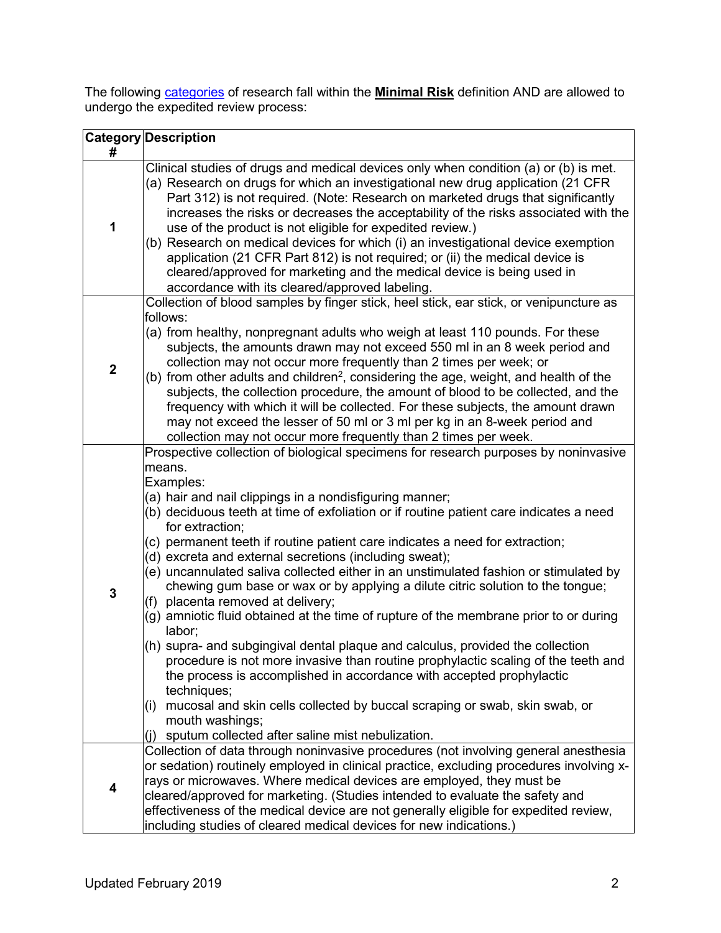The following [categories](https://www.hhs.gov/ohrp/regulations-and-policy/guidance/categories-of-research-expedited-review-procedure-1998/index.html) of research fall within the **Minimal Risk** definition AND are allowed to undergo the expedited review process:

|             | <b>Category Description</b>                                                                                                                                                                                                                                                                                                                                                                                                                                                                                                                                                                                                                                                                                                                                                                                                                                                                                                                                                                                                   |
|-------------|-------------------------------------------------------------------------------------------------------------------------------------------------------------------------------------------------------------------------------------------------------------------------------------------------------------------------------------------------------------------------------------------------------------------------------------------------------------------------------------------------------------------------------------------------------------------------------------------------------------------------------------------------------------------------------------------------------------------------------------------------------------------------------------------------------------------------------------------------------------------------------------------------------------------------------------------------------------------------------------------------------------------------------|
| #           |                                                                                                                                                                                                                                                                                                                                                                                                                                                                                                                                                                                                                                                                                                                                                                                                                                                                                                                                                                                                                               |
| 1           | Clinical studies of drugs and medical devices only when condition (a) or (b) is met.<br>(a) Research on drugs for which an investigational new drug application (21 CFR<br>Part 312) is not required. (Note: Research on marketed drugs that significantly<br>increases the risks or decreases the acceptability of the risks associated with the<br>use of the product is not eligible for expedited review.)<br>(b) Research on medical devices for which (i) an investigational device exemption<br>application (21 CFR Part 812) is not required; or (ii) the medical device is<br>cleared/approved for marketing and the medical device is being used in<br>accordance with its cleared/approved labeling.                                                                                                                                                                                                                                                                                                               |
|             | Collection of blood samples by finger stick, heel stick, ear stick, or venipuncture as                                                                                                                                                                                                                                                                                                                                                                                                                                                                                                                                                                                                                                                                                                                                                                                                                                                                                                                                        |
| $\mathbf 2$ | follows:<br>(a) from healthy, nonpregnant adults who weigh at least 110 pounds. For these<br>subjects, the amounts drawn may not exceed 550 ml in an 8 week period and<br>collection may not occur more frequently than 2 times per week; or<br>(b) from other adults and children <sup>2</sup> , considering the age, weight, and health of the<br>subjects, the collection procedure, the amount of blood to be collected, and the<br>frequency with which it will be collected. For these subjects, the amount drawn<br>may not exceed the lesser of 50 ml or 3 ml per kg in an 8-week period and<br>collection may not occur more frequently than 2 times per week.                                                                                                                                                                                                                                                                                                                                                       |
|             | Prospective collection of biological specimens for research purposes by noninvasive                                                                                                                                                                                                                                                                                                                                                                                                                                                                                                                                                                                                                                                                                                                                                                                                                                                                                                                                           |
| 3           | means.<br>Examples:<br>(a) hair and nail clippings in a nondisfiguring manner;<br>(b) deciduous teeth at time of exfoliation or if routine patient care indicates a need<br>for extraction;<br>(c) permanent teeth if routine patient care indicates a need for extraction;<br>(d) excreta and external secretions (including sweat);<br>(e) uncannulated saliva collected either in an unstimulated fashion or stimulated by<br>chewing gum base or wax or by applying a dilute citric solution to the tongue;<br>(f) placenta removed at delivery;<br>(g) amniotic fluid obtained at the time of rupture of the membrane prior to or during<br>labor;<br>(h) supra- and subgingival dental plaque and calculus, provided the collection<br>procedure is not more invasive than routine prophylactic scaling of the teeth and<br>the process is accomplished in accordance with accepted prophylactic<br>techniques;<br>mucosal and skin cells collected by buccal scraping or swab, skin swab, or<br>(i)<br>mouth washings; |
|             | sputum collected after saline mist nebulization.<br>(i)<br>Collection of data through noninvasive procedures (not involving general anesthesia                                                                                                                                                                                                                                                                                                                                                                                                                                                                                                                                                                                                                                                                                                                                                                                                                                                                                |
| 4           | or sedation) routinely employed in clinical practice, excluding procedures involving x-<br>rays or microwaves. Where medical devices are employed, they must be<br>cleared/approved for marketing. (Studies intended to evaluate the safety and<br>effectiveness of the medical device are not generally eligible for expedited review,<br>including studies of cleared medical devices for new indications.)                                                                                                                                                                                                                                                                                                                                                                                                                                                                                                                                                                                                                 |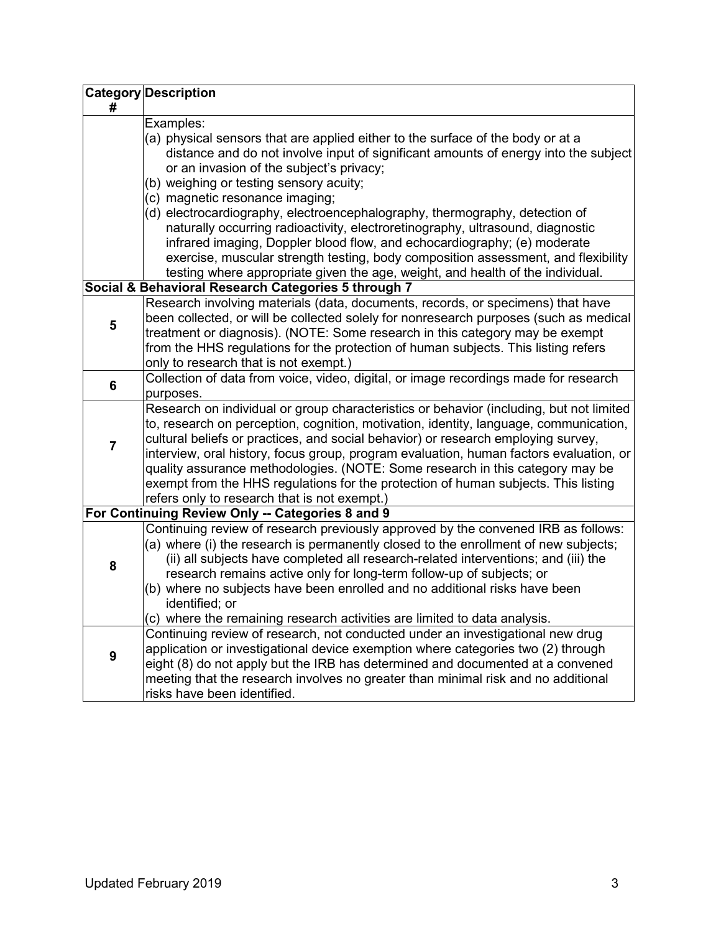|                | <b>Category Description</b>                                                                                                                                 |
|----------------|-------------------------------------------------------------------------------------------------------------------------------------------------------------|
| #              |                                                                                                                                                             |
|                | Examples:<br>(a) physical sensors that are applied either to the surface of the body or at a                                                                |
|                | distance and do not involve input of significant amounts of energy into the subject                                                                         |
|                | or an invasion of the subject's privacy;                                                                                                                    |
|                | (b) weighing or testing sensory acuity;                                                                                                                     |
|                | (c) magnetic resonance imaging;                                                                                                                             |
|                | (d) electrocardiography, electroencephalography, thermography, detection of                                                                                 |
|                | naturally occurring radioactivity, electroretinography, ultrasound, diagnostic                                                                              |
|                | infrared imaging, Doppler blood flow, and echocardiography; (e) moderate                                                                                    |
|                | exercise, muscular strength testing, body composition assessment, and flexibility                                                                           |
|                | testing where appropriate given the age, weight, and health of the individual.                                                                              |
|                | Social & Behavioral Research Categories 5 through 7                                                                                                         |
|                | Research involving materials (data, documents, records, or specimens) that have                                                                             |
| 5              | been collected, or will be collected solely for nonresearch purposes (such as medical                                                                       |
|                | treatment or diagnosis). (NOTE: Some research in this category may be exempt                                                                                |
|                | from the HHS regulations for the protection of human subjects. This listing refers                                                                          |
|                | only to research that is not exempt.)                                                                                                                       |
| 6              | Collection of data from voice, video, digital, or image recordings made for research                                                                        |
|                | purposes.<br>Research on individual or group characteristics or behavior (including, but not limited                                                        |
|                | to, research on perception, cognition, motivation, identity, language, communication,                                                                       |
|                | cultural beliefs or practices, and social behavior) or research employing survey,                                                                           |
| $\overline{7}$ | interview, oral history, focus group, program evaluation, human factors evaluation, or                                                                      |
|                | quality assurance methodologies. (NOTE: Some research in this category may be                                                                               |
|                | exempt from the HHS regulations for the protection of human subjects. This listing                                                                          |
|                | refers only to research that is not exempt.)                                                                                                                |
|                | For Continuing Review Only -- Categories 8 and 9                                                                                                            |
|                | Continuing review of research previously approved by the convened IRB as follows:                                                                           |
|                | (a) where (i) the research is permanently closed to the enrollment of new subjects;                                                                         |
| 8              | (ii) all subjects have completed all research-related interventions; and (iii) the                                                                          |
|                | research remains active only for long-term follow-up of subjects; or                                                                                        |
|                | (b) where no subjects have been enrolled and no additional risks have been                                                                                  |
|                | identified; or                                                                                                                                              |
|                | (c) where the remaining research activities are limited to data analysis.<br>Continuing review of research, not conducted under an investigational new drug |
| 9              | application or investigational device exemption where categories two (2) through                                                                            |
|                | eight (8) do not apply but the IRB has determined and documented at a convened                                                                              |
|                | meeting that the research involves no greater than minimal risk and no additional                                                                           |
|                | risks have been identified.                                                                                                                                 |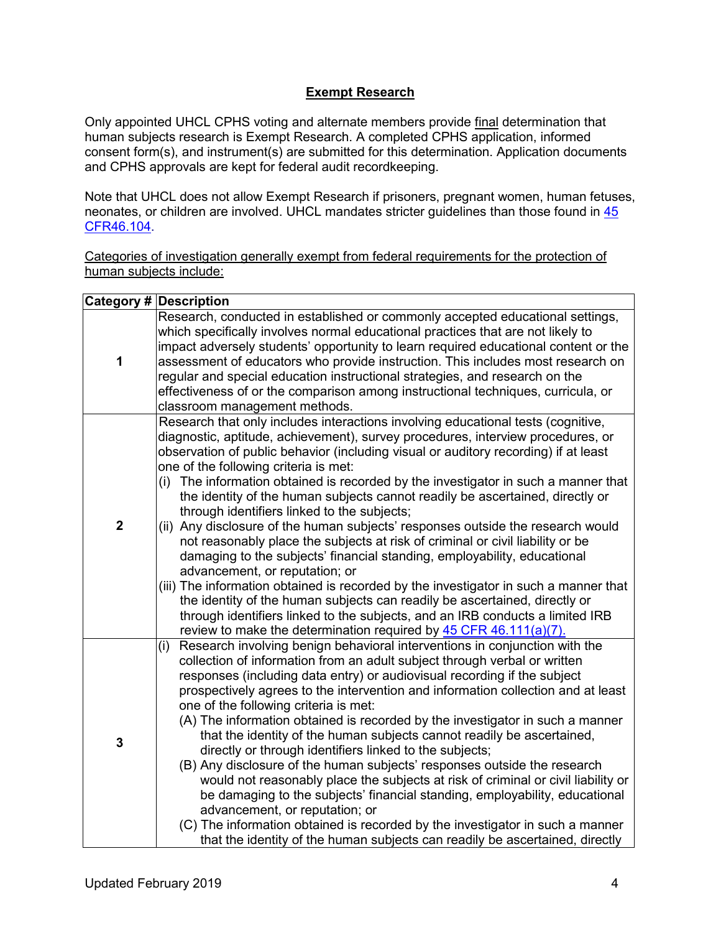# **Exempt Research**

Only appointed UHCL CPHS voting and alternate members provide final determination that human subjects research is Exempt Research. A completed CPHS application, informed consent form(s), and instrument(s) are submitted for this determination. Application documents and CPHS approvals are kept for federal audit recordkeeping.

Note that UHCL does not allow Exempt Research if prisoners, pregnant women, human fetuses, neonates, or children are involved. UHCL mandates stricter guidelines than those found in [45](https://www.ecfr.gov/cgi-bin/retrieveECFR?gp=&SID=83cd09e1c0f5c6937cd9d7513160fc3f&pitd=20180719&n=pt45.1.46&r=PART&ty=HTML#se45.1.46_1104) [CFR46.104.](https://www.ecfr.gov/cgi-bin/retrieveECFR?gp=&SID=83cd09e1c0f5c6937cd9d7513160fc3f&pitd=20180719&n=pt45.1.46&r=PART&ty=HTML#se45.1.46_1104)

Categories of investigation generally exempt from federal requirements for the protection of human subjects include:

|                | <b>Category # Description</b>                                                                                                                                                                                                                                                                                                                                                                                                                                                                                                                                                                                                                                                                                                                                                                                                                                                                                                                                                                                                                                                                                                                    |
|----------------|--------------------------------------------------------------------------------------------------------------------------------------------------------------------------------------------------------------------------------------------------------------------------------------------------------------------------------------------------------------------------------------------------------------------------------------------------------------------------------------------------------------------------------------------------------------------------------------------------------------------------------------------------------------------------------------------------------------------------------------------------------------------------------------------------------------------------------------------------------------------------------------------------------------------------------------------------------------------------------------------------------------------------------------------------------------------------------------------------------------------------------------------------|
| 1              | Research, conducted in established or commonly accepted educational settings,<br>which specifically involves normal educational practices that are not likely to<br>impact adversely students' opportunity to learn required educational content or the<br>assessment of educators who provide instruction. This includes most research on<br>regular and special education instructional strategies, and research on the<br>effectiveness of or the comparison among instructional techniques, curricula, or<br>classroom management methods.                                                                                                                                                                                                                                                                                                                                                                                                                                                                                                                                                                                                   |
| $\overline{2}$ | Research that only includes interactions involving educational tests (cognitive,<br>diagnostic, aptitude, achievement), survey procedures, interview procedures, or<br>observation of public behavior (including visual or auditory recording) if at least<br>one of the following criteria is met:<br>The information obtained is recorded by the investigator in such a manner that<br>(i)<br>the identity of the human subjects cannot readily be ascertained, directly or<br>through identifiers linked to the subjects;<br>(ii) Any disclosure of the human subjects' responses outside the research would<br>not reasonably place the subjects at risk of criminal or civil liability or be<br>damaging to the subjects' financial standing, employability, educational<br>advancement, or reputation; or<br>(iii) The information obtained is recorded by the investigator in such a manner that<br>the identity of the human subjects can readily be ascertained, directly or<br>through identifiers linked to the subjects, and an IRB conducts a limited IRB<br>review to make the determination required by $45$ CFR $46.111(a)(7)$ . |
| 3              | Research involving benign behavioral interventions in conjunction with the<br>(i)<br>collection of information from an adult subject through verbal or written<br>responses (including data entry) or audiovisual recording if the subject<br>prospectively agrees to the intervention and information collection and at least<br>one of the following criteria is met:<br>(A) The information obtained is recorded by the investigator in such a manner<br>that the identity of the human subjects cannot readily be ascertained,<br>directly or through identifiers linked to the subjects;<br>(B) Any disclosure of the human subjects' responses outside the research<br>would not reasonably place the subjects at risk of criminal or civil liability or<br>be damaging to the subjects' financial standing, employability, educational<br>advancement, or reputation; or<br>(C) The information obtained is recorded by the investigator in such a manner<br>that the identity of the human subjects can readily be ascertained, directly                                                                                                 |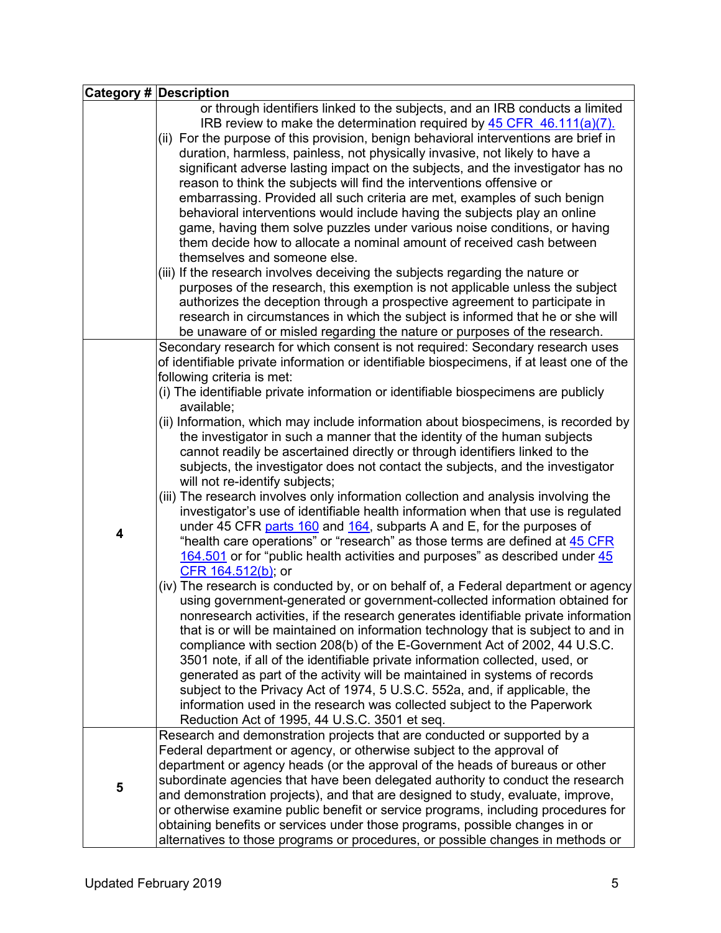|   | <b>Category # Description</b>                                                                                                                                                                                                                                                                                                                                                                                                                                                                                                                                                                                                                                                                                                                                                                                                                                                                                                                                                                                                                                                                                                                                                                                                                                                                                                                                                                                                                                                                                                                                                                                                                                                                                                                                                                                                                                                                                                                                                                                |  |  |  |  |  |
|---|--------------------------------------------------------------------------------------------------------------------------------------------------------------------------------------------------------------------------------------------------------------------------------------------------------------------------------------------------------------------------------------------------------------------------------------------------------------------------------------------------------------------------------------------------------------------------------------------------------------------------------------------------------------------------------------------------------------------------------------------------------------------------------------------------------------------------------------------------------------------------------------------------------------------------------------------------------------------------------------------------------------------------------------------------------------------------------------------------------------------------------------------------------------------------------------------------------------------------------------------------------------------------------------------------------------------------------------------------------------------------------------------------------------------------------------------------------------------------------------------------------------------------------------------------------------------------------------------------------------------------------------------------------------------------------------------------------------------------------------------------------------------------------------------------------------------------------------------------------------------------------------------------------------------------------------------------------------------------------------------------------------|--|--|--|--|--|
|   | or through identifiers linked to the subjects, and an IRB conducts a limited<br>IRB review to make the determination required by $45$ CFR $46.111(a)(7)$ .<br>(ii) For the purpose of this provision, benign behavioral interventions are brief in<br>duration, harmless, painless, not physically invasive, not likely to have a<br>significant adverse lasting impact on the subjects, and the investigator has no<br>reason to think the subjects will find the interventions offensive or<br>embarrassing. Provided all such criteria are met, examples of such benign<br>behavioral interventions would include having the subjects play an online<br>game, having them solve puzzles under various noise conditions, or having<br>them decide how to allocate a nominal amount of received cash between<br>themselves and someone else.<br>(iii) If the research involves deceiving the subjects regarding the nature or<br>purposes of the research, this exemption is not applicable unless the subject<br>authorizes the deception through a prospective agreement to participate in<br>research in circumstances in which the subject is informed that he or she will                                                                                                                                                                                                                                                                                                                                                                                                                                                                                                                                                                                                                                                                                                                                                                                                                              |  |  |  |  |  |
| 4 | be unaware of or misled regarding the nature or purposes of the research.<br>Secondary research for which consent is not required: Secondary research uses<br>of identifiable private information or identifiable biospecimens, if at least one of the<br>following criteria is met:<br>(i) The identifiable private information or identifiable biospecimens are publicly<br>available;<br>(ii) Information, which may include information about biospecimens, is recorded by<br>the investigator in such a manner that the identity of the human subjects<br>cannot readily be ascertained directly or through identifiers linked to the<br>subjects, the investigator does not contact the subjects, and the investigator<br>will not re-identify subjects;<br>(iii) The research involves only information collection and analysis involving the<br>investigator's use of identifiable health information when that use is regulated<br>under 45 CFR parts 160 and 164, subparts A and E, for the purposes of<br>"health care operations" or "research" as those terms are defined at 45 CFR<br>164.501 or for "public health activities and purposes" as described under 45<br>CFR 164.512(b); or<br>(iv) The research is conducted by, or on behalf of, a Federal department or agency<br>using government-generated or government-collected information obtained for<br>nonresearch activities, if the research generates identifiable private information<br>that is or will be maintained on information technology that is subject to and in<br>compliance with section 208(b) of the E-Government Act of 2002, 44 U.S.C.<br>3501 note, if all of the identifiable private information collected, used, or<br>generated as part of the activity will be maintained in systems of records<br>subject to the Privacy Act of 1974, 5 U.S.C. 552a, and, if applicable, the<br>information used in the research was collected subject to the Paperwork<br>Reduction Act of 1995, 44 U.S.C. 3501 et seq. |  |  |  |  |  |
| 5 | Research and demonstration projects that are conducted or supported by a<br>Federal department or agency, or otherwise subject to the approval of<br>department or agency heads (or the approval of the heads of bureaus or other<br>subordinate agencies that have been delegated authority to conduct the research<br>and demonstration projects), and that are designed to study, evaluate, improve,<br>or otherwise examine public benefit or service programs, including procedures for<br>obtaining benefits or services under those programs, possible changes in or<br>alternatives to those programs or procedures, or possible changes in methods or                                                                                                                                                                                                                                                                                                                                                                                                                                                                                                                                                                                                                                                                                                                                                                                                                                                                                                                                                                                                                                                                                                                                                                                                                                                                                                                                               |  |  |  |  |  |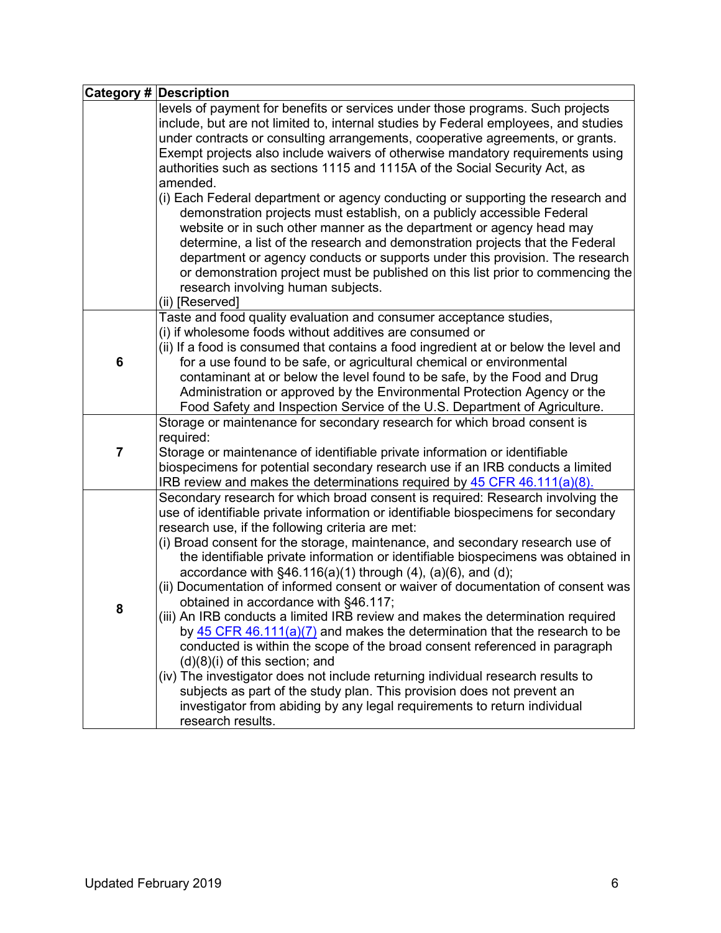|   | <b>Category # Description</b>                                                                                                                                                                                                                                                                                                                                                                                                                                                                                                                                                                                                                                                                                                                                                                                                                                                                                                                                                                                                                                                                                                                              |
|---|------------------------------------------------------------------------------------------------------------------------------------------------------------------------------------------------------------------------------------------------------------------------------------------------------------------------------------------------------------------------------------------------------------------------------------------------------------------------------------------------------------------------------------------------------------------------------------------------------------------------------------------------------------------------------------------------------------------------------------------------------------------------------------------------------------------------------------------------------------------------------------------------------------------------------------------------------------------------------------------------------------------------------------------------------------------------------------------------------------------------------------------------------------|
|   | levels of payment for benefits or services under those programs. Such projects<br>include, but are not limited to, internal studies by Federal employees, and studies<br>under contracts or consulting arrangements, cooperative agreements, or grants.<br>Exempt projects also include waivers of otherwise mandatory requirements using<br>authorities such as sections 1115 and 1115A of the Social Security Act, as<br>amended.<br>(i) Each Federal department or agency conducting or supporting the research and<br>demonstration projects must establish, on a publicly accessible Federal<br>website or in such other manner as the department or agency head may<br>determine, a list of the research and demonstration projects that the Federal<br>department or agency conducts or supports under this provision. The research<br>or demonstration project must be published on this list prior to commencing the<br>research involving human subjects.                                                                                                                                                                                        |
|   | (ii) [Reserved]                                                                                                                                                                                                                                                                                                                                                                                                                                                                                                                                                                                                                                                                                                                                                                                                                                                                                                                                                                                                                                                                                                                                            |
| 6 | Taste and food quality evaluation and consumer acceptance studies,<br>(i) if wholesome foods without additives are consumed or<br>(ii) If a food is consumed that contains a food ingredient at or below the level and<br>for a use found to be safe, or agricultural chemical or environmental<br>contaminant at or below the level found to be safe, by the Food and Drug<br>Administration or approved by the Environmental Protection Agency or the<br>Food Safety and Inspection Service of the U.S. Department of Agriculture.                                                                                                                                                                                                                                                                                                                                                                                                                                                                                                                                                                                                                       |
| 7 | Storage or maintenance for secondary research for which broad consent is<br>required:<br>Storage or maintenance of identifiable private information or identifiable<br>biospecimens for potential secondary research use if an IRB conducts a limited<br>IRB review and makes the determinations required by 45 CFR 46.111(a)(8).                                                                                                                                                                                                                                                                                                                                                                                                                                                                                                                                                                                                                                                                                                                                                                                                                          |
| 8 | Secondary research for which broad consent is required: Research involving the<br>use of identifiable private information or identifiable biospecimens for secondary<br>research use, if the following criteria are met:<br>(i) Broad consent for the storage, maintenance, and secondary research use of<br>the identifiable private information or identifiable biospecimens was obtained in<br>accordance with $\S46.116(a)(1)$ through $(4)$ , $(a)(6)$ , and $(d)$ ;<br>(ii) Documentation of informed consent or waiver of documentation of consent was<br>obtained in accordance with §46.117;<br>(iii) An IRB conducts a limited IRB review and makes the determination required<br>by $45$ CFR $46.111(a)(7)$ and makes the determination that the research to be<br>conducted is within the scope of the broad consent referenced in paragraph<br>$(d)(8)(i)$ of this section; and<br>(iv) The investigator does not include returning individual research results to<br>subjects as part of the study plan. This provision does not prevent an<br>investigator from abiding by any legal requirements to return individual<br>research results. |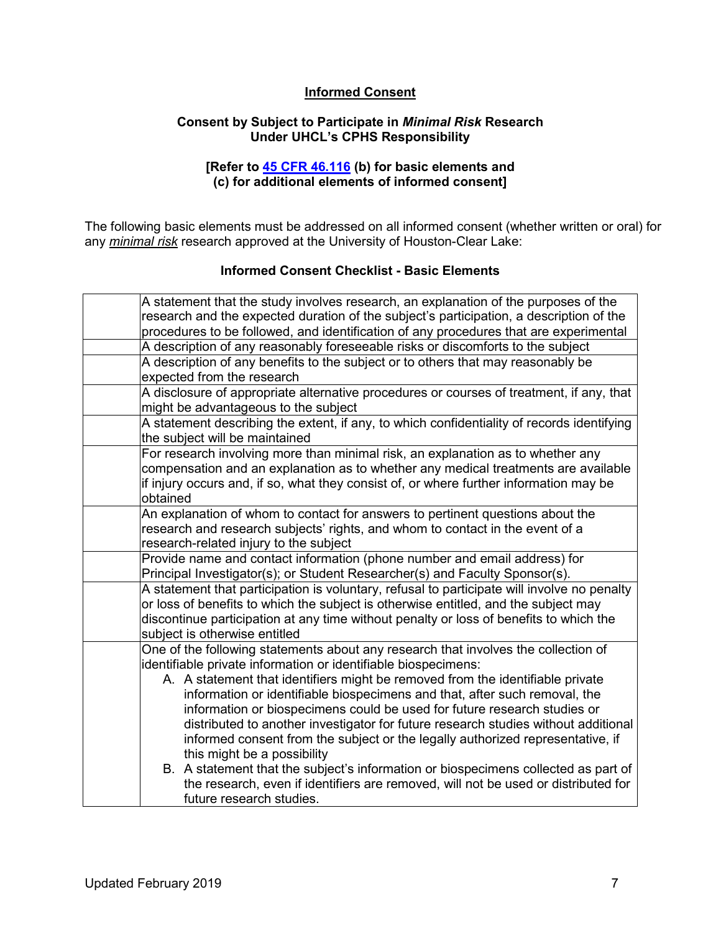# **Informed Consent**

### **Consent by Subject to Participate in** *Minimal Risk* **Research Under UHCL's CPHS Responsibility**

### **[Refer to [45 CFR 46.116](http://www.hhs.gov/ohrp/humansubjects/guidance/45cfr46.html#46.116) (b) for basic elements and (c) for additional elements of informed consent]**

The following basic elements must be addressed on all informed consent (whether written or oral) for any *minimal risk* research approved at the University of Houston-Clear Lake:

#### **Informed Consent Checklist - Basic Elements**

| A statement that the study involves research, an explanation of the purposes of the         |
|---------------------------------------------------------------------------------------------|
| research and the expected duration of the subject's participation, a description of the     |
| procedures to be followed, and identification of any procedures that are experimental       |
| A description of any reasonably foreseeable risks or discomforts to the subject             |
| A description of any benefits to the subject or to others that may reasonably be            |
| expected from the research                                                                  |
| A disclosure of appropriate alternative procedures or courses of treatment, if any, that    |
| might be advantageous to the subject                                                        |
| A statement describing the extent, if any, to which confidentiality of records identifying  |
| the subject will be maintained                                                              |
| For research involving more than minimal risk, an explanation as to whether any             |
| compensation and an explanation as to whether any medical treatments are available          |
| if injury occurs and, if so, what they consist of, or where further information may be      |
| obtained                                                                                    |
| An explanation of whom to contact for answers to pertinent questions about the              |
| research and research subjects' rights, and whom to contact in the event of a               |
| research-related injury to the subject                                                      |
| Provide name and contact information (phone number and email address) for                   |
| Principal Investigator(s); or Student Researcher(s) and Faculty Sponsor(s).                 |
| A statement that participation is voluntary, refusal to participate will involve no penalty |
| or loss of benefits to which the subject is otherwise entitled, and the subject may         |
| discontinue participation at any time without penalty or loss of benefits to which the      |
| subject is otherwise entitled                                                               |
| One of the following statements about any research that involves the collection of          |
| identifiable private information or identifiable biospecimens:                              |
| A. A statement that identifiers might be removed from the identifiable private              |
| information or identifiable biospecimens and that, after such removal, the                  |
| information or biospecimens could be used for future research studies or                    |
| distributed to another investigator for future research studies without additional          |
| informed consent from the subject or the legally authorized representative, if              |
| this might be a possibility                                                                 |
| B. A statement that the subject's information or biospecimens collected as part of          |
| the research, even if identifiers are removed, will not be used or distributed for          |
| future research studies.                                                                    |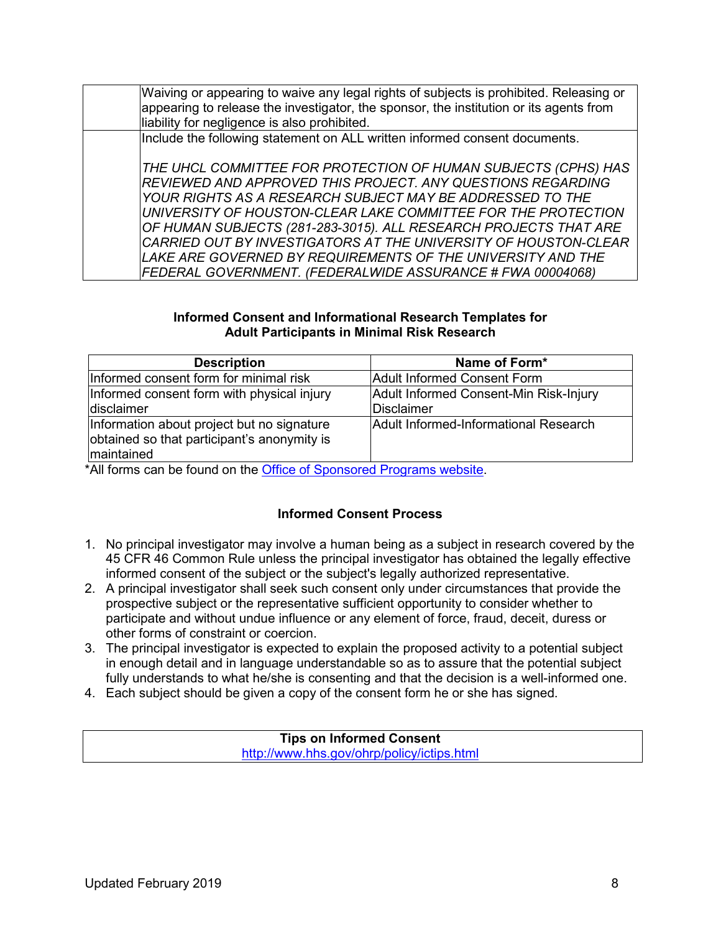Waiving or appearing to waive any legal rights of subjects is prohibited. Releasing or appearing to release the investigator, the sponsor, the institution or its agents from liability for negligence is also prohibited. Include the following statement on ALL written informed consent documents. *THE UHCL COMMITTEE FOR PROTECTION OF HUMAN SUBJECTS (CPHS) HAS REVIEWED AND APPROVED THIS PROJECT. ANY QUESTIONS REGARDING YOUR RIGHTS AS A RESEARCH SUBJECT MAY BE ADDRESSED TO THE UNIVERSITY OF HOUSTON-CLEAR LAKE COMMITTEE FOR THE PROTECTION OF HUMAN SUBJECTS (281-283-3015). ALL RESEARCH PROJECTS THAT ARE CARRIED OUT BY INVESTIGATORS AT THE UNIVERSITY OF HOUSTON-CLEAR LAKE ARE GOVERNED BY REQUIREMENTS OF THE UNIVERSITY AND THE FEDERAL GOVERNMENT. (FEDERALWIDE ASSURANCE # FWA 00004068)*

#### **Informed Consent and Informational Research Templates for Adult Participants in Minimal Risk Research**

| <b>Description</b>                                                                                      | Name of Form*                          |
|---------------------------------------------------------------------------------------------------------|----------------------------------------|
| Informed consent form for minimal risk                                                                  | <b>Adult Informed Consent Form</b>     |
| Informed consent form with physical injury                                                              | Adult Informed Consent-Min Risk-Injury |
| <b>disclaimer</b>                                                                                       | Disclaimer                             |
| Information about project but no signature<br>obtained so that participant's anonymity is<br>maintained | Adult Informed-Informational Research  |

\*All forms can be found on the [Office of Sponsored Programs website.](https://www.uhcl.edu/about/administrative-offices/sponsored-programs)

# **Informed Consent Process**

- 1. No principal investigator may involve a human being as a subject in research covered by the 45 CFR 46 Common Rule unless the principal investigator has obtained the legally effective informed consent of the subject or the subject's legally authorized representative.
- 2. A principal investigator shall seek such consent only under circumstances that provide the prospective subject or the representative sufficient opportunity to consider whether to participate and without undue influence or any element of force, fraud, deceit, duress or other forms of constraint or coercion.
- 3. The principal investigator is expected to explain the proposed activity to a potential subject in enough detail and in language understandable so as to assure that the potential subject fully understands to what he/she is consenting and that the decision is a well-informed one.
- 4. Each subject should be given a copy of the consent form he or she has signed.

**Tips on Informed Consent** <http://www.hhs.gov/ohrp/policy/ictips.html>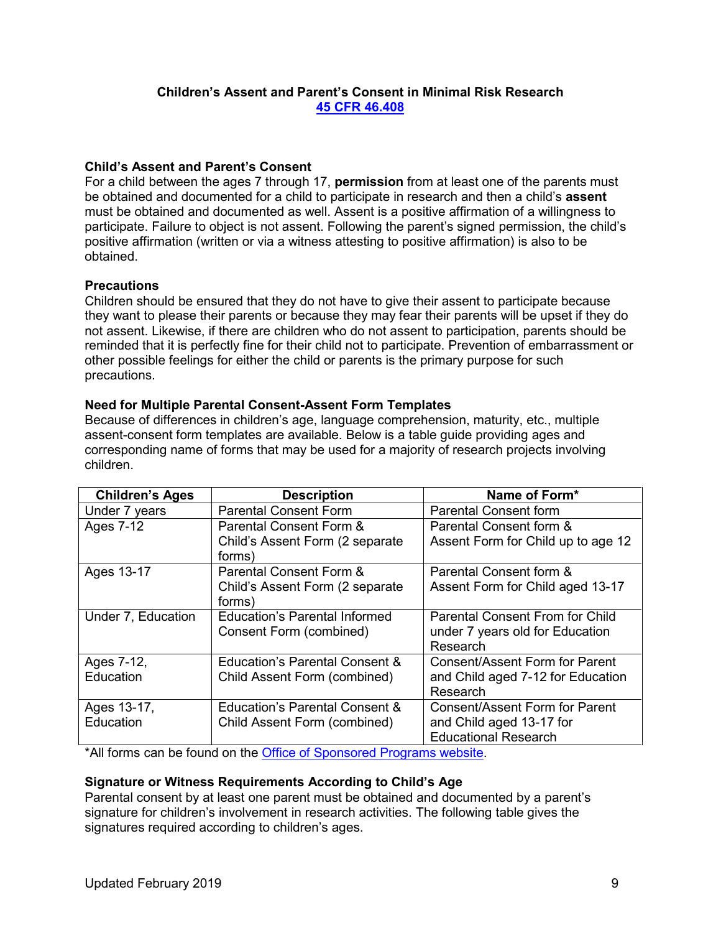### **Children's Assent and Parent's Consent in Minimal Risk Research [45 CFR 46.408](https://www.ecfr.gov/cgi-bin/retrieveECFR?gp=&SID=83cd09e1c0f5c6937cd9d7513160fc3f&pitd=20180719&n=pt45.1.46&r=PART&ty=HTML#se45.1.46_1408)**

### **Child's Assent and Parent's Consent**

For a child between the ages 7 through 17, **permission** from at least one of the parents must be obtained and documented for a child to participate in research and then a child's **assent** must be obtained and documented as well. Assent is a positive affirmation of a willingness to participate. Failure to object is not assent. Following the parent's signed permission, the child's positive affirmation (written or via a witness attesting to positive affirmation) is also to be obtained.

# **Precautions**

Children should be ensured that they do not have to give their assent to participate because they want to please their parents or because they may fear their parents will be upset if they do not assent. Likewise, if there are children who do not assent to participation, parents should be reminded that it is perfectly fine for their child not to participate. Prevention of embarrassment or other possible feelings for either the child or parents is the primary purpose for such precautions.

# **Need for Multiple Parental Consent-Assent Form Templates**

Because of differences in children's age, language comprehension, maturity, etc., multiple assent-consent form templates are available. Below is a table guide providing ages and corresponding name of forms that may be used for a majority of research projects involving children.

| <b>Children's Ages</b> | <b>Description</b>                   | Name of Form*                          |
|------------------------|--------------------------------------|----------------------------------------|
| Under 7 years          | <b>Parental Consent Form</b>         | <b>Parental Consent form</b>           |
| <b>Ages 7-12</b>       | Parental Consent Form &              | Parental Consent form &                |
|                        | Child's Assent Form (2 separate      | Assent Form for Child up to age 12     |
|                        | forms)                               |                                        |
| Ages 13-17             | Parental Consent Form &              | Parental Consent form &                |
|                        | Child's Assent Form (2 separate      | Assent Form for Child aged 13-17       |
|                        | forms)                               |                                        |
| Under 7, Education     | <b>Education's Parental Informed</b> | <b>Parental Consent From for Child</b> |
|                        | Consent Form (combined)              | under 7 years old for Education        |
|                        |                                      | Research                               |
| Ages 7-12,             | Education's Parental Consent &       | <b>Consent/Assent Form for Parent</b>  |
| Education              | Child Assent Form (combined)         | and Child aged 7-12 for Education      |
|                        |                                      | Research                               |
| Ages 13-17,            | Education's Parental Consent &       | <b>Consent/Assent Form for Parent</b>  |
| Education              | Child Assent Form (combined)         | and Child aged 13-17 for               |
|                        |                                      | <b>Educational Research</b>            |
| $-1$ $-1$ $-1$ $-1$    | $\sim$                               |                                        |

\*All forms can be found on the [Office of Sponsored Programs website.](https://www.uhcl.edu/about/administrative-offices/sponsored-programs)

# **Signature or Witness Requirements According to Child's Age**

Parental consent by at least one parent must be obtained and documented by a parent's signature for children's involvement in research activities. The following table gives the signatures required according to children's ages.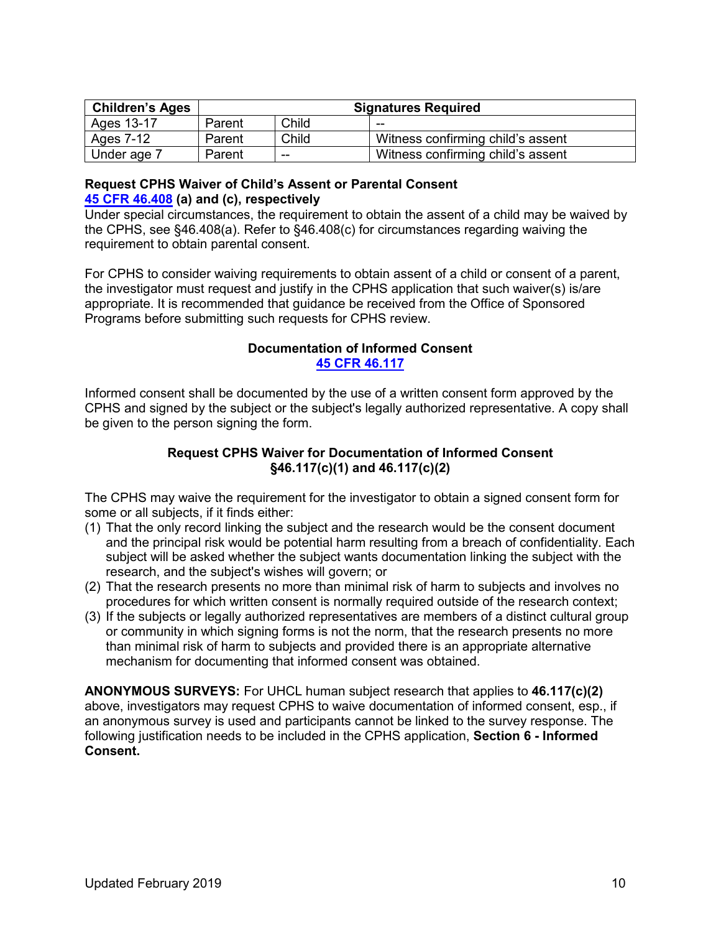| <b>Children's Ages</b> | <b>Signatures Required</b> |       |                                   |  |
|------------------------|----------------------------|-------|-----------------------------------|--|
| Ages 13-17             | Parent                     | Child | $- -$                             |  |
| Ages 7-12              | Parent                     | Child | Witness confirming child's assent |  |
| Under age 7            | Parent                     | --    | Witness confirming child's assent |  |

### **Request CPHS Waiver of Child's Assent or Parental Consent [45 CFR 46.408](https://www.ecfr.gov/cgi-bin/retrieveECFR?gp=&SID=83cd09e1c0f5c6937cd9d7513160fc3f&pitd=20180719&n=pt45.1.46&r=PART&ty=HTML#se45.1.46_1408) (a) and (c), respectively**

Under special circumstances, the requirement to obtain the assent of a child may be waived by the CPHS, see §46.408(a). Refer to §46.408(c) for circumstances regarding waiving the requirement to obtain parental consent.

For CPHS to consider waiving requirements to obtain assent of a child or consent of a parent, the investigator must request and justify in the CPHS application that such waiver(s) is/are appropriate. It is recommended that guidance be received from the Office of Sponsored Programs before submitting such requests for CPHS review.

# **Documentation of Informed Consent [45 CFR 46.117](https://www.ecfr.gov/cgi-bin/retrieveECFR?gp=&SID=83cd09e1c0f5c6937cd9d7513160fc3f&pitd=20180719&n=pt45.1.46&r=PART&ty=HTML#se45.1.46_1117)**

Informed consent shall be documented by the use of a written consent form approved by the CPHS and signed by the subject or the subject's legally authorized representative. A copy shall be given to the person signing the form.

# **Request CPHS Waiver for Documentation of Informed Consent §46.117(c)(1) and 46.117(c)(2)**

The CPHS may waive the requirement for the investigator to obtain a signed consent form for some or all subjects, if it finds either:

- (1) That the only record linking the subject and the research would be the consent document and the principal risk would be potential harm resulting from a breach of confidentiality. Each subject will be asked whether the subject wants documentation linking the subject with the research, and the subject's wishes will govern; or
- (2) That the research presents no more than minimal risk of harm to subjects and involves no procedures for which written consent is normally required outside of the research context;
- (3) If the subjects or legally authorized representatives are members of a distinct cultural group or community in which signing forms is not the norm, that the research presents no more than minimal risk of harm to subjects and provided there is an appropriate alternative mechanism for documenting that informed consent was obtained.

**ANONYMOUS SURVEYS:** For UHCL human subject research that applies to **46.117(c)(2)** above, investigators may request CPHS to waive documentation of informed consent, esp., if an anonymous survey is used and participants cannot be linked to the survey response. The following justification needs to be included in the CPHS application, **Section 6 - Informed Consent.**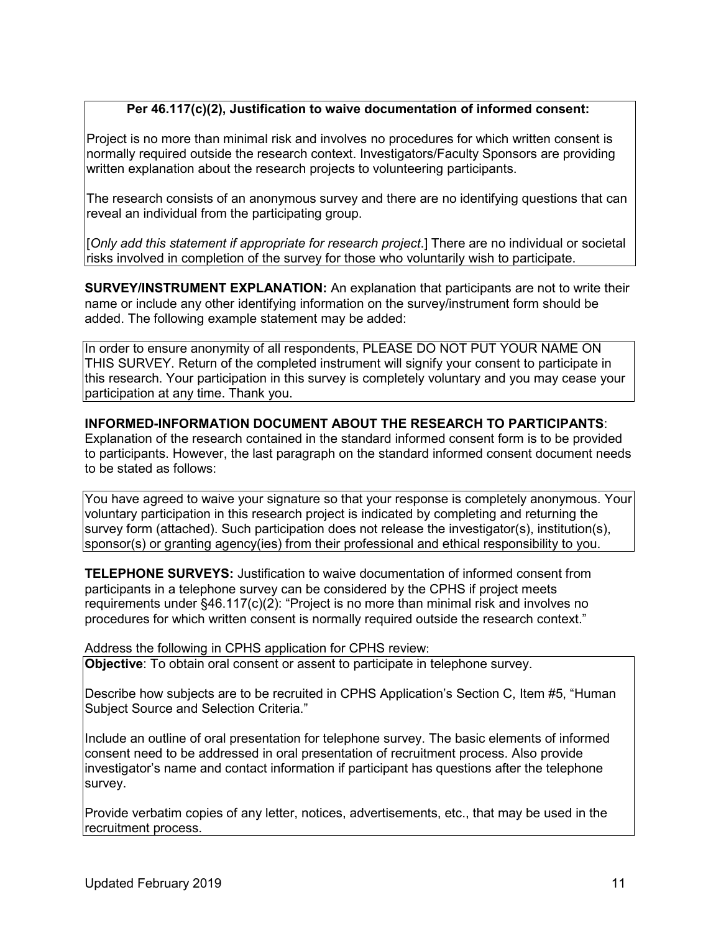# **Per 46.117(c)(2), Justification to waive documentation of informed consent:**

Project is no more than minimal risk and involves no procedures for which written consent is normally required outside the research context. Investigators/Faculty Sponsors are providing written explanation about the research projects to volunteering participants.

The research consists of an anonymous survey and there are no identifying questions that can reveal an individual from the participating group.

[*Only add this statement if appropriate for research project*.] There are no individual or societal risks involved in completion of the survey for those who voluntarily wish to participate.

**SURVEY/INSTRUMENT EXPLANATION:** An explanation that participants are not to write their name or include any other identifying information on the survey/instrument form should be added. The following example statement may be added:

In order to ensure anonymity of all respondents, PLEASE DO NOT PUT YOUR NAME ON THIS SURVEY. Return of the completed instrument will signify your consent to participate in this research. Your participation in this survey is completely voluntary and you may cease your participation at any time. Thank you.

**INFORMED-INFORMATION DOCUMENT ABOUT THE RESEARCH TO PARTICIPANTS**:

Explanation of the research contained in the standard informed consent form is to be provided to participants. However, the last paragraph on the standard informed consent document needs to be stated as follows:

You have agreed to waive your signature so that your response is completely anonymous. Your voluntary participation in this research project is indicated by completing and returning the survey form (attached). Such participation does not release the investigator(s), institution(s), sponsor(s) or granting agency(ies) from their professional and ethical responsibility to you.

**TELEPHONE SURVEYS:** Justification to waive documentation of informed consent from participants in a telephone survey can be considered by the CPHS if project meets requirements under §46.117(c)(2): "Project is no more than minimal risk and involves no procedures for which written consent is normally required outside the research context."

Address the following in CPHS application for CPHS review:

**Objective**: To obtain oral consent or assent to participate in telephone survey.

Describe how subjects are to be recruited in CPHS Application's Section C, Item #5, "Human Subject Source and Selection Criteria."

Include an outline of oral presentation for telephone survey. The basic elements of informed consent need to be addressed in oral presentation of recruitment process. Also provide investigator's name and contact information if participant has questions after the telephone survey.

Provide verbatim copies of any letter, notices, advertisements, etc., that may be used in the recruitment process.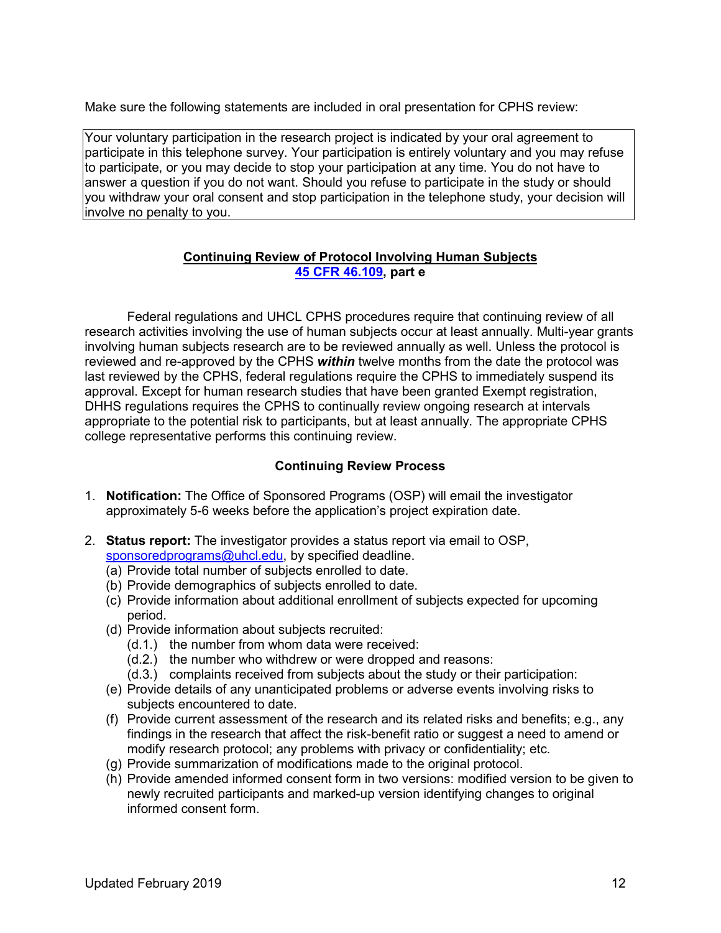Make sure the following statements are included in oral presentation for CPHS review:

Your voluntary participation in the research project is indicated by your oral agreement to participate in this telephone survey. Your participation is entirely voluntary and you may refuse to participate, or you may decide to stop your participation at any time. You do not have to answer a question if you do not want. Should you refuse to participate in the study or should you withdraw your oral consent and stop participation in the telephone study, your decision will involve no penalty to you.

### **Continuing Review of Protocol Involving Human Subjects [45 CFR 46.109,](https://www.ecfr.gov/cgi-bin/retrieveECFR?gp=&SID=83cd09e1c0f5c6937cd9d7513160fc3f&pitd=20180719&n=pt45.1.46&r=PART&ty=HTML#se45.1.46_1109) part e**

Federal regulations and UHCL CPHS procedures require that continuing review of all research activities involving the use of human subjects occur at least annually. Multi-year grants involving human subjects research are to be reviewed annually as well. Unless the protocol is reviewed and re-approved by the CPHS *within* twelve months from the date the protocol was last reviewed by the CPHS, federal regulations require the CPHS to immediately suspend its approval. Except for human research studies that have been granted Exempt registration, DHHS regulations requires the CPHS to continually review ongoing research at intervals appropriate to the potential risk to participants, but at least annually. The appropriate CPHS college representative performs this continuing review.

### **Continuing Review Process**

- 1. **Notification:** The Office of Sponsored Programs (OSP) will email the investigator approximately 5-6 weeks before the application's project expiration date.
- 2. **Status report:** The investigator provides a status report via email to OSP, [sponsoredprograms@uhcl.edu,](mailto:sponsoredprograms@uhcl.edu) by specified deadline.
	- (a) Provide total number of subjects enrolled to date.
	- (b) Provide demographics of subjects enrolled to date.
	- (c) Provide information about additional enrollment of subjects expected for upcoming period.
	- (d) Provide information about subjects recruited:
		- (d.1.) the number from whom data were received:
		- (d.2.) the number who withdrew or were dropped and reasons:
		- (d.3.) complaints received from subjects about the study or their participation:
	- (e) Provide details of any unanticipated problems or adverse events involving risks to subjects encountered to date.
	- (f) Provide current assessment of the research and its related risks and benefits; e.g., any findings in the research that affect the risk-benefit ratio or suggest a need to amend or modify research protocol; any problems with privacy or confidentiality; etc.
	- (g) Provide summarization of modifications made to the original protocol.
	- (h) Provide amended informed consent form in two versions: modified version to be given to newly recruited participants and marked-up version identifying changes to original informed consent form.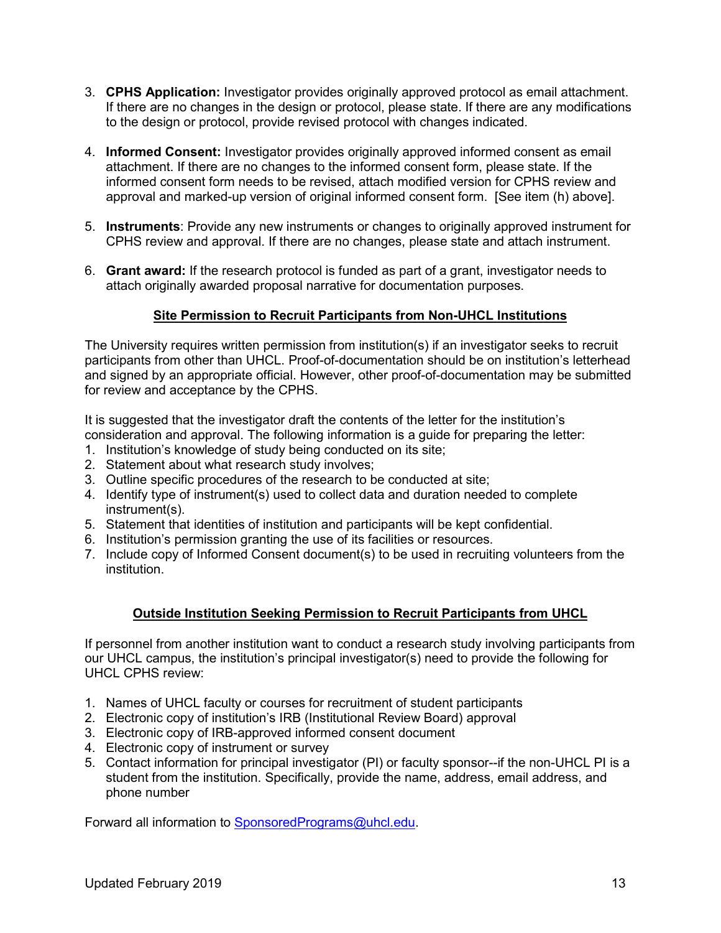- 3. **CPHS Application:** Investigator provides originally approved protocol as email attachment. If there are no changes in the design or protocol, please state. If there are any modifications to the design or protocol, provide revised protocol with changes indicated.
- 4. **Informed Consent:** Investigator provides originally approved informed consent as email attachment. If there are no changes to the informed consent form, please state. If the informed consent form needs to be revised, attach modified version for CPHS review and approval and marked-up version of original informed consent form. [See item (h) above].
- 5. **Instruments**: Provide any new instruments or changes to originally approved instrument for CPHS review and approval. If there are no changes, please state and attach instrument.
- 6. **Grant award:** If the research protocol is funded as part of a grant, investigator needs to attach originally awarded proposal narrative for documentation purposes.

# **Site Permission to Recruit Participants from Non-UHCL Institutions**

The University requires written permission from institution(s) if an investigator seeks to recruit participants from other than UHCL. Proof-of-documentation should be on institution's letterhead and signed by an appropriate official. However, other proof-of-documentation may be submitted for review and acceptance by the CPHS.

It is suggested that the investigator draft the contents of the letter for the institution's consideration and approval. The following information is a guide for preparing the letter:

- 1. Institution's knowledge of study being conducted on its site;
- 2. Statement about what research study involves;
- 3. Outline specific procedures of the research to be conducted at site;
- 4. Identify type of instrument(s) used to collect data and duration needed to complete instrument(s).
- 5. Statement that identities of institution and participants will be kept confidential.
- 6. Institution's permission granting the use of its facilities or resources.
- 7. Include copy of Informed Consent document(s) to be used in recruiting volunteers from the institution.

### **Outside Institution Seeking Permission to Recruit Participants from UHCL**

If personnel from another institution want to conduct a research study involving participants from our UHCL campus, the institution's principal investigator(s) need to provide the following for UHCL CPHS review:

- 1. Names of UHCL faculty or courses for recruitment of student participants
- 2. Electronic copy of institution's IRB (Institutional Review Board) approval
- 3. Electronic copy of IRB-approved informed consent document
- 4. Electronic copy of instrument or survey
- 5. Contact information for principal investigator (PI) or faculty sponsor--if the non-UHCL PI is a student from the institution. Specifically, provide the name, address, email address, and phone number

Forward all information to [SponsoredPrograms@uhcl.edu.](mailto:SponsoredPrograms@uhcl.edu)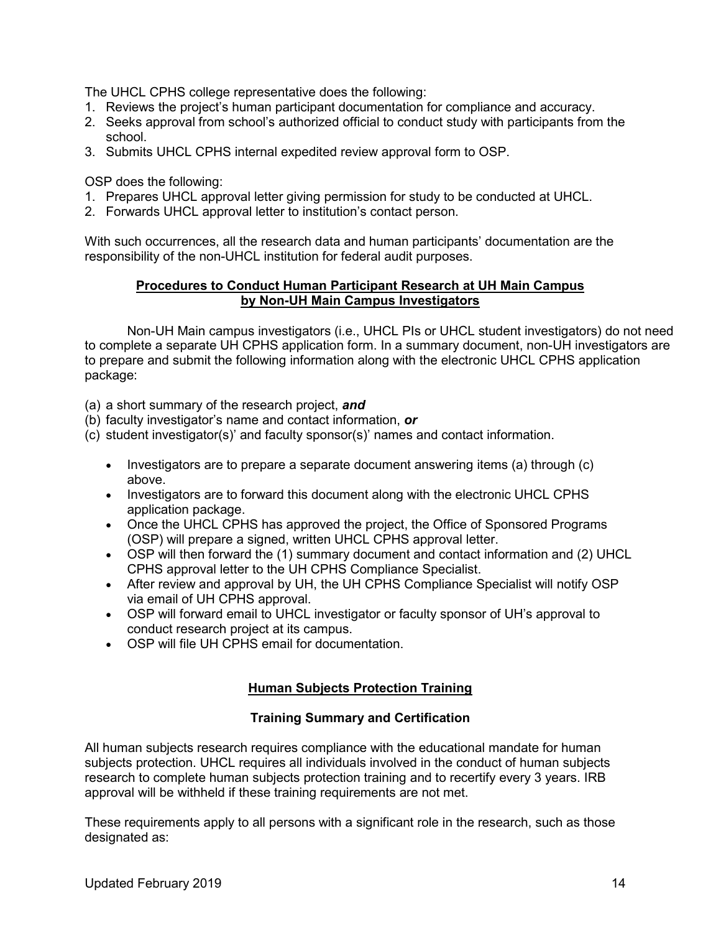The UHCL CPHS college representative does the following:

- 1. Reviews the project's human participant documentation for compliance and accuracy.
- 2. Seeks approval from school's authorized official to conduct study with participants from the school.
- 3. Submits UHCL CPHS internal expedited review approval form to OSP.

OSP does the following:

- 1. Prepares UHCL approval letter giving permission for study to be conducted at UHCL.
- 2. Forwards UHCL approval letter to institution's contact person.

With such occurrences, all the research data and human participants' documentation are the responsibility of the non-UHCL institution for federal audit purposes.

### **Procedures to Conduct Human Participant Research at UH Main Campus by Non-UH Main Campus Investigators**

Non-UH Main campus investigators (i.e., UHCL PIs or UHCL student investigators) do not need to complete a separate UH CPHS application form. In a summary document, non-UH investigators are to prepare and submit the following information along with the electronic UHCL CPHS application package:

(a) a short summary of the research project, *and*

- (b) faculty investigator's name and contact information, *or*
- (c) student investigator(s)' and faculty sponsor(s)' names and contact information.
	- Investigators are to prepare a separate document answering items (a) through (c) above.
	- Investigators are to forward this document along with the electronic UHCL CPHS application package.
	- Once the UHCL CPHS has approved the project, the Office of Sponsored Programs (OSP) will prepare a signed, written UHCL CPHS approval letter.
	- OSP will then forward the (1) summary document and contact information and (2) UHCL CPHS approval letter to the UH CPHS Compliance Specialist.
	- After review and approval by UH, the UH CPHS Compliance Specialist will notify OSP via email of UH CPHS approval.
	- OSP will forward email to UHCL investigator or faculty sponsor of UH's approval to conduct research project at its campus.
	- OSP will file UH CPHS email for documentation.

# **Human Subjects Protection Training**

### **Training Summary and Certification**

All human subjects research requires compliance with the educational mandate for human subjects protection. UHCL requires all individuals involved in the conduct of human subjects research to complete human subjects protection training and to recertify every 3 years. IRB approval will be withheld if these training requirements are not met.

These requirements apply to all persons with a significant role in the research, such as those designated as: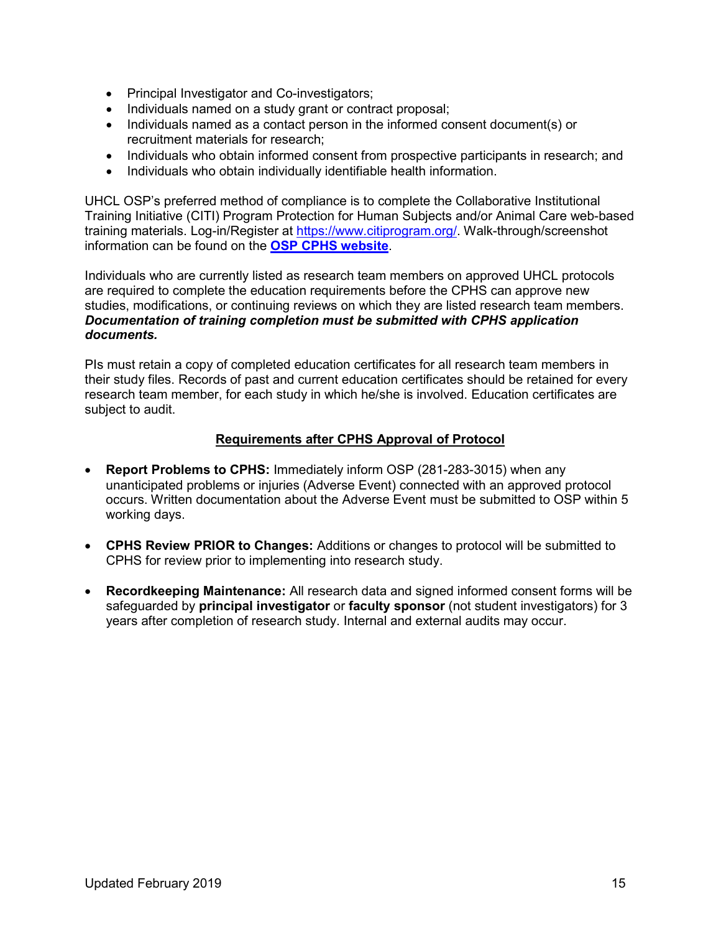- Principal Investigator and Co-investigators;
- Individuals named on a study grant or contract proposal;
- Individuals named as a contact person in the informed consent document(s) or recruitment materials for research;
- Individuals who obtain informed consent from prospective participants in research; and
- Individuals who obtain individually identifiable health information.

UHCL OSP's preferred method of compliance is to complete the Collaborative Institutional Training Initiative (CITI) Program Protection for Human Subjects and/or Animal Care web-based training materials. Log-in/Register at [https://www.citiprogram.org/.](https://www.citiprogram.org/) Walk-through/screenshot information can be found on the **[OSP CPHS website](https://www.uhcl.edu/about/administrative-offices/sponsored-programs/protection-of-human-subjects/consent-assent-forms)**.

Individuals who are currently listed as research team members on approved UHCL protocols are required to complete the education requirements before the CPHS can approve new studies, modifications, or continuing reviews on which they are listed research team members. *Documentation of training completion must be submitted with CPHS application documents.*

PIs must retain a copy of completed education certificates for all research team members in their study files. Records of past and current education certificates should be retained for every research team member, for each study in which he/she is involved. Education certificates are subject to audit.

### **Requirements after CPHS Approval of Protocol**

- **Report Problems to CPHS:** Immediately inform OSP (281-283-3015) when any unanticipated problems or injuries (Adverse Event) connected with an approved protocol occurs. Written documentation about the Adverse Event must be submitted to OSP within 5 working days.
- **CPHS Review PRIOR to Changes:** Additions or changes to protocol will be submitted to CPHS for review prior to implementing into research study.
- **Recordkeeping Maintenance:** All research data and signed informed consent forms will be safeguarded by **principal investigator** or **faculty sponsor** (not student investigators) for 3 years after completion of research study. Internal and external audits may occur.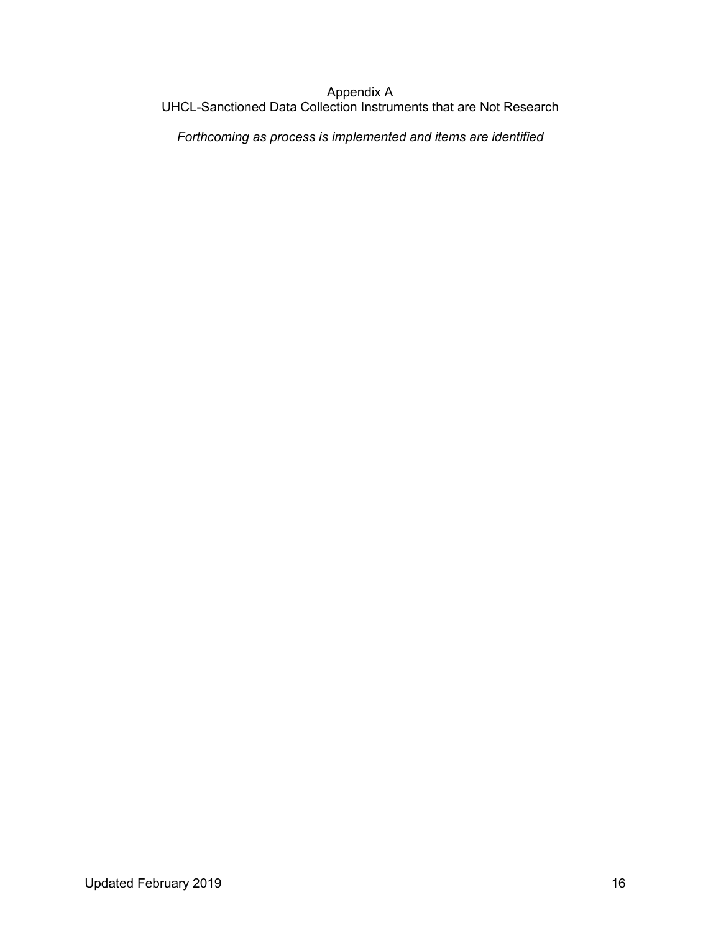### Appendix A UHCL-Sanctioned Data Collection Instruments that are Not Research

*Forthcoming as process is implemented and items are identified*